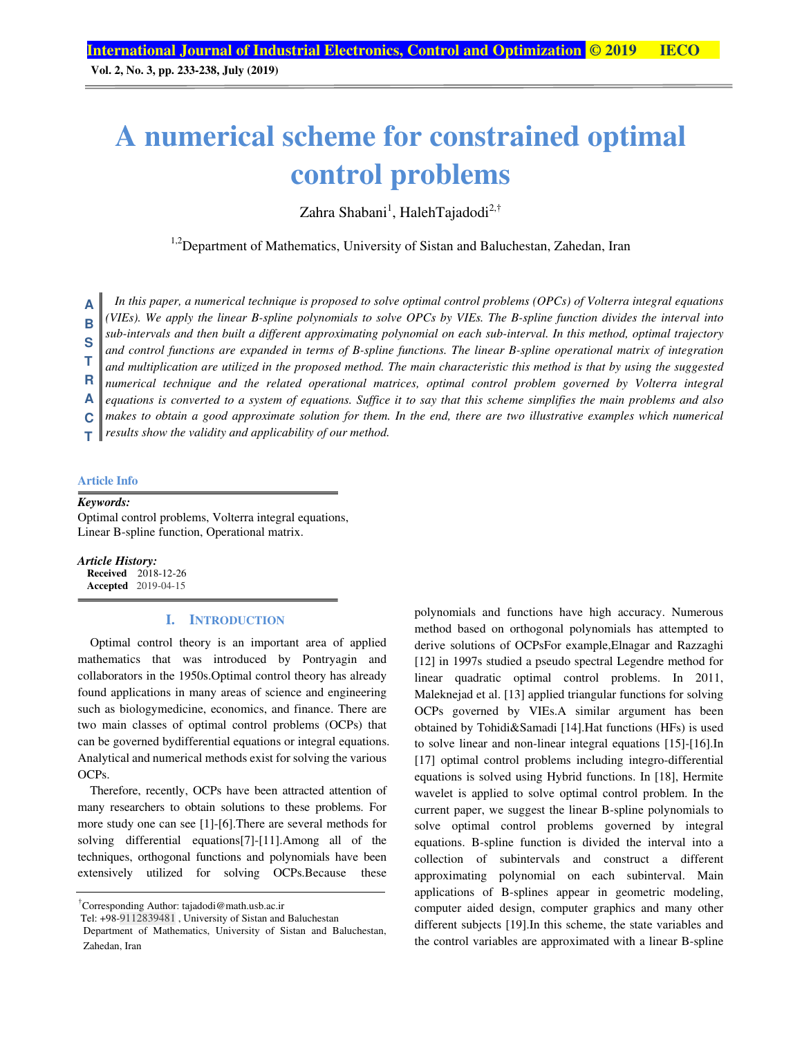**Vol. 2, No. 3, pp. 233-238, July (2019)**

# **A numerical scheme for constrained optimal control problems**

Zahra Shabani<sup>1</sup>, HalehTajadodi<sup>2,†</sup>

<sup>1,2</sup>Department of Mathematics, University of Sistan and Baluchestan, Zahedan, Iran

*In this paper, a numerical technique is proposed to solve optimal control problems (OPCs) of Volterra integral equations (VIEs). We apply the linear B-spline polynomials to solve OPCs by VIEs. The B-spline function divides the interval into sub-intervals and then built a different approximating polynomial on each sub-interval. In this method, optimal trajectory and control functions are expanded in terms of B-spline functions. The linear B-spline operational matrix of integration and multiplication are utilized in the proposed method. The main characteristic this method is that by using the suggested numerical technique and the related operational matrices, optimal control problem governed by Volterra integral equations is converted to a system of equations. Suffice it to say that this scheme simplifies the main problems and also*  makes to obtain a good approximate solution for them. In the end, there are two illustrative examples which numerical *results show the validity and applicability of our method.*  **A B S T R A C T** 

### **Article Info**

#### *Keywords:*

Optimal control problems, Volterra integral equations, Linear B-spline function, Operational matrix.

*Article History:*  **Received** 2018-12-26 **Accepted** 2019-04-15

# **I. INTRODUCTION**

Optimal control theory is an important area of applied mathematics that was introduced by Pontryagin and collaborators in the 1950s.Optimal control theory has already found applications in many areas of science and engineering such as biologymedicine, economics, and finance. There are two main classes of optimal control problems (OCPs) that can be governed bydifferential equations or integral equations. Analytical and numerical methods exist for solving the various OCPs.

Therefore, recently, OCPs have been attracted attention of many researchers to obtain solutions to these problems. For more study one can see [1]-[6].There are several methods for solving differential equations[7]-[11].Among all of the techniques, orthogonal functions and polynomials have been extensively utilized for solving OCPs.Because these

† Corresponding Author: tajadodi@math.usb.ac.ir

polynomials and functions have high accuracy. Numerous method based on orthogonal polynomials has attempted to derive solutions of OCPsFor example,Elnagar and Razzaghi [12] in 1997s studied a pseudo spectral Legendre method for linear quadratic optimal control problems. In 2011, Maleknejad et al. [13] applied triangular functions for solving OCPs governed by VIEs.A similar argument has been obtained by Tohidi&Samadi [14].Hat functions (HFs) is used to solve linear and non-linear integral equations [15]-[16].In [17] optimal control problems including integro-differential equations is solved using Hybrid functions. In [18], Hermite wavelet is applied to solve optimal control problem. In the current paper, we suggest the linear B-spline polynomials to solve optimal control problems governed by integral equations. B-spline function is divided the interval into a collection of subintervals and construct a different approximating polynomial on each subinterval. Main applications of B-splines appear in geometric modeling, computer aided design, computer graphics and many other different subjects [19].In this scheme, the state variables and the control variables are approximated with a linear B-spline

Tel: +98-9112839481 , University of Sistan and Baluchestan

Department of Mathematics, University of Sistan and Baluchestan, Zahedan, Iran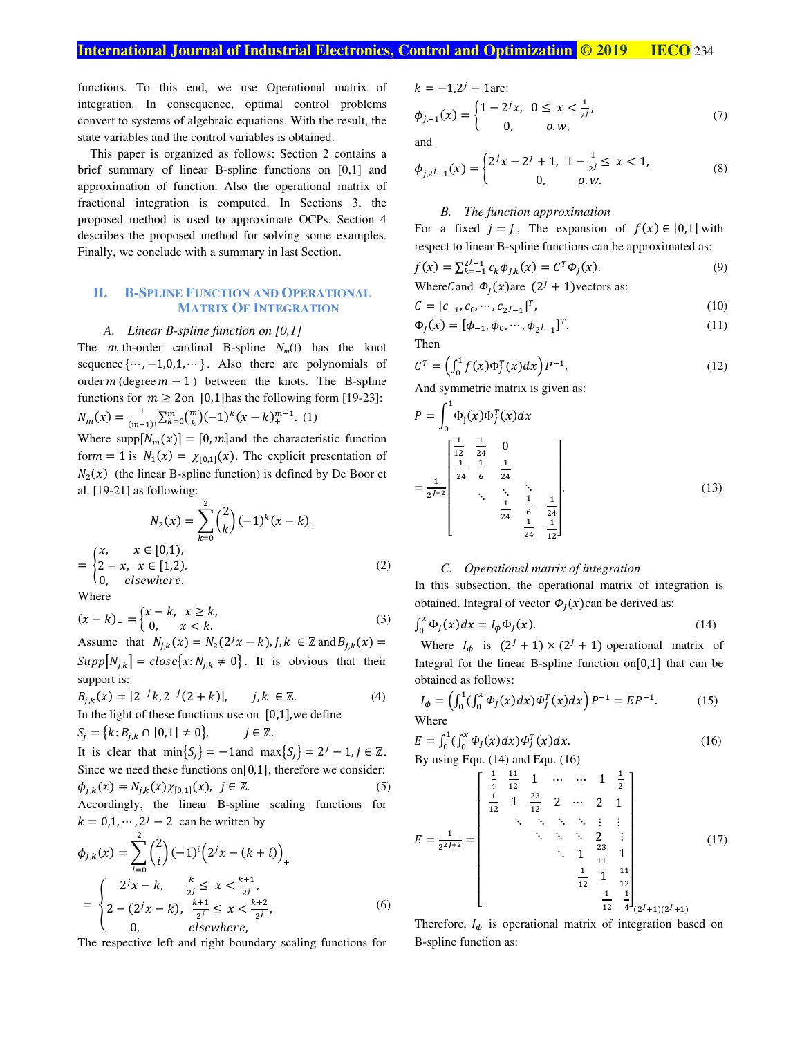functions. To this end, we use Operational matrix of integration. In consequence, optimal control problems convert to systems of algebraic equations. With the result, the state variables and the control variables is obtained.

This paper is organized as follows: Section 2 contains a brief summary of linear B-spline functions on [0,1] and approximation of function. Also the operational matrix of fractional integration is computed. In Sections 3, the proposed method is used to approximate OCPs. Section 4 describes the proposed method for solving some examples. Finally, we conclude with a summary in last Section.

# **II. B-SPLINE FUNCTION AND OPERATIONAL MATRIX OF INTEGRATION**

### *A. Linear B-spline function on [0,1]*

The *m* th-order cardinal B-spline  $N<sub>m</sub>(t)$  has the knot sequence  $\{\dots, -1, 0, 1, \dots\}$ . Also there are polynomials of order  $m$  (degree  $m - 1$ ) between the knots. The B-spline functions for  $m \ge 2$ on [0,1] has the following form [19-23]:  $N_m(x) = \frac{1}{(m-1)^2}$  $\frac{1}{(m-1)!} \sum_{k=0}^{m} {m \choose k} (-1)^k (x-k)_{+}^{m-1}$ . (1)

Where supp $[N_m(x)] = [0, m]$  and the characteristic function form = 1 is  $N_1(x) = \chi_{[0,1]}(x)$ . The explicit presentation of  $N_2(x)$  (the linear B-spline function) is defined by De Boor et al. [19-21] as following:

$$
N_2(x) = \sum_{k=0}^{2} {2 \choose k} (-1)^k (x - k)_+
$$
  
= 
$$
\begin{cases} x, & x \in [0,1), \\ 2 - x, & x \in [1,2), \\ 0, & elsewhere. \end{cases}
$$
 (2)

Where

$$
(x - k)_+ = \begin{cases} x - k, & x \ge k, \\ 0, & x < k. \end{cases}
$$
 (3)

Assume that  $N_{j,k}(x) = N_2(2^j x - k)$ ,  $j, k \in \mathbb{Z}$  and  $B_{j,k}(x) =$  $Supp[N_{j,k}] = close\{x: N_{j,k} \neq 0\}$ . It is obvious that their support is:

$$
B_{j,k}(x) = [2^{-j}k, 2^{-j}(2+k)], \qquad j, k \in \mathbb{Z}.
$$
  
In the light of these functions use on [0,1], we define

 $S_j = \{k: B_{j,k} \cap [0,1] \neq 0\}, \qquad j \in \mathbb{Z}.$ 

It is clear that  $\min\{S_j\} = -1$  and  $\max\{S_j\} = 2^j - 1, j \in \mathbb{Z}$ . Since we need these functions on [0,1], therefore we consider:  $\phi_{j,k}(x) = N_{j,k}(x)\chi_{[0,1]}(x), \ \ j \in \mathbb{Z}.$  (5) Accordingly, the linear B-spline scaling functions for  $k = 0, 1, \dots, 2^{j} - 2$  can be written by

$$
\phi_{j,k}(x) = \sum_{i=0}^{2} {2 \choose i} (-1)^i (2^j x - (k+i))_+ \n= \begin{cases}\n2^j x - k, & \frac{k}{2^j} \le x < \frac{k+1}{2^j}, \\
2 - (2^j x - k), & \frac{k+1}{2^j} \le x < \frac{k+2}{2^j}, \\
0, & \text{elsewhere,} \n\end{cases}
$$
\n(6)

The respective left and right boundary scaling functions for

$$
k=-1,2^j-1
$$
 are:

$$
\phi_{j,-1}(x) = \begin{cases} 1 - 2^j x, & 0 \le x < \frac{1}{2^j}, \\ 0, & 0, w, \end{cases}
$$
(7)

and

$$
\phi_{j,2^j-1}(x) = \begin{cases} 2^j x - 2^j + 1, & 1 - \frac{1}{2^j} \le x < 1, \\ 0, & 0, w. \end{cases}
$$
 (8)

### *B. The function approximation*

For a fixed  $j = J$ , The expansion of  $f(x) \in [0,1]$  with respect to linear B-spline functions can be approximated as:

$$
f(x) = \sum_{k=-1}^{2^{j}-1} c_k \phi_{j,k}(x) = C^T \phi_j(x).
$$
 (9)

WhereCand  $\Phi_I(x)$ are  $(2^I + 1)$ vectors as:

$$
C = [c_{-1}, c_0, \cdots, c_{2^J - 1}]^T, \tag{10}
$$

$$
\Phi_J(x) = [\phi_{-1}, \phi_0, \cdots, \phi_{2^J - 1}]^T.
$$
\n(11)

Then

 $\sim 1$ 

$$
\mathcal{C}^T = \left(\int_0^1 f(x)\Phi_J^T(x)dx\right)P^{-1},\tag{12}
$$

And symmetric matrix is given as:

$$
P = \int_0^1 \Phi_J(x) \Phi_J^T(x) dx
$$
  
=  $\frac{1}{2^{J-2}} \begin{bmatrix} \frac{1}{12} & \frac{1}{24} & 0 \\ \frac{1}{24} & \frac{1}{6} & \frac{1}{24} \\ \vdots & \vdots & \ddots \\ \frac{1}{24} & \frac{1}{6} & \frac{1}{24} \\ \frac{1}{24} & \frac{1}{12} \end{bmatrix}$  (13)

# *C. Operational matrix of integration*

In this subsection, the operational matrix of integration is obtained. Integral of vector  $\Phi_I(x)$ can be derived as:

$$
\int_0^x \Phi_j(x) dx = I_\phi \Phi_j(x). \tag{14}
$$

Where  $I_{\phi}$  is  $(2^{J} + 1) \times (2^{J} + 1)$  operational matrix of Integral for the linear B-spline function on $[0,1]$  that can be obtained as follows:

$$
I_{\phi} = \left(\int_0^1 (\int_0^x \Phi_j(x) dx) \Phi_j^T(x) dx\right) P^{-1} = E P^{-1}.
$$
 (15)

Where

$$
E = \int_0^1 (\int_0^x \Phi_j(x) dx) \Phi_j^T(x) dx.
$$
\nBy using EQU. (14) and EQU. (16)

By using Equ. (14) and Equ. (16)

$$
E = \frac{1}{2^{2j+2}} = \begin{bmatrix} \frac{1}{4} & \frac{11}{12} & 1 & \cdots & \cdots & 1 & \frac{1}{2} \\ \frac{1}{12} & 1 & \frac{23}{12} & 2 & \cdots & 2 & 1 \\ & \ddots & \ddots & \ddots & \ddots & \vdots & \vdots \\ & & \ddots & \ddots & 2 & \vdots \\ & & & \ddots & 1 & \frac{23}{11} & 1 \\ & & & & \frac{1}{12} & 1 & \frac{11}{12} \\ & & & & & \frac{1}{12} & \frac{1}{4} \\ & & & & & & \frac{1}{12} & \frac{1}{4} \end{bmatrix} (17)
$$

Therefore,  $I_{\phi}$  is operational matrix of integration based on B-spline function as: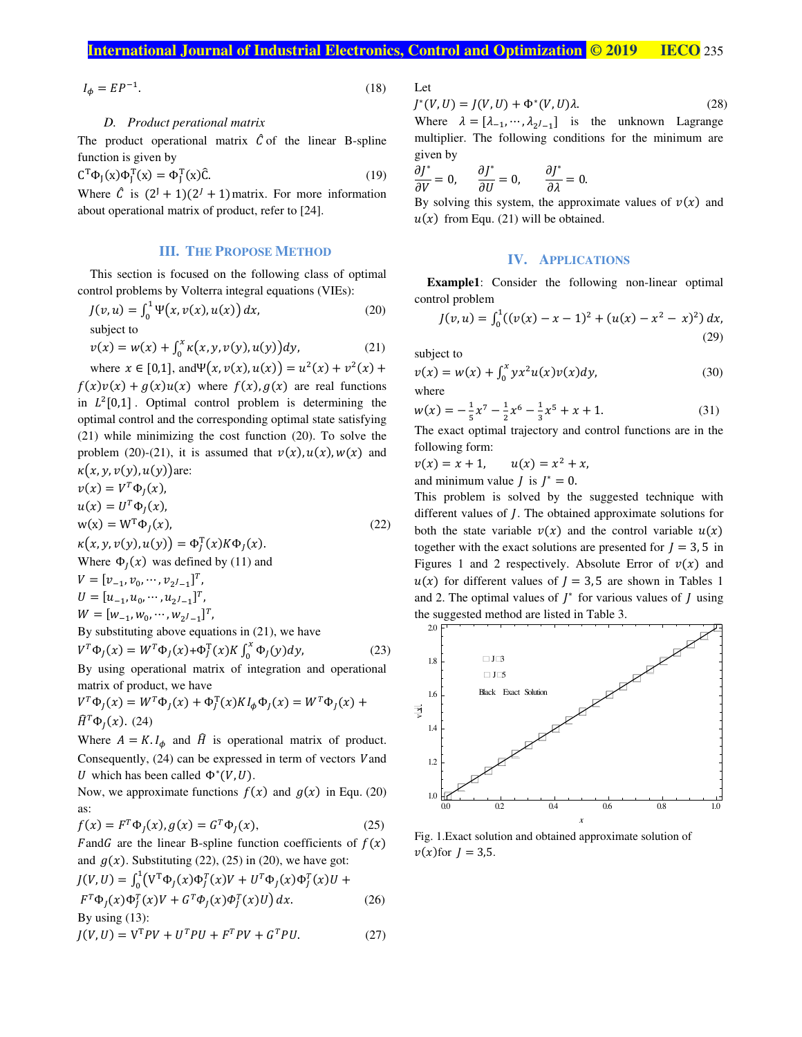$$
I_{\phi} = EP^{-1}.\tag{18}
$$

# *D. Product perational matrix*

The product operational matrix  $\hat{C}$  of the linear B-spline function is given by

$$
\mathbf{C}^{\mathrm{T}}\Phi_{J}(\mathbf{x})\Phi_{J}^{\mathrm{T}}(\mathbf{x}) = \Phi_{J}^{\mathrm{T}}(\mathbf{x})\hat{\mathbf{C}}.\tag{19}
$$

Where  $\hat{C}$  is  $(2^J + 1)(2^J + 1)$  matrix. For more information about operational matrix of product, refer to [24].

## **III. THE PROPOSE METHOD**

This section is focused on the following class of optimal control problems by Volterra integral equations (VIEs):

$$
J(v, u) = \int_0^1 \Psi(x, v(x), u(x)) dx,
$$
  
subject to (20)

$$
v(x) = w(x) + \int_0^x \kappa(x, y, v(y), u(y)) dy,
$$

where  $x \in [0,1]$ , and  $\Psi(x, v(x), u(x)) = u^2(x) + v^2(x) + v^2(x)$  $f(x)v(x) + g(x)u(x)$  where  $f(x), g(x)$  are real functions in  $L^2[0,1]$ . Optimal control problem is determining the optimal control and the corresponding optimal state satisfying (21) while minimizing the cost function (20). To solve the problem (20)-(21), it is assumed that  $v(x)$ ,  $u(x)$ ,  $w(x)$  and  $\kappa(x, y, v(y), u(y))$ are:

$$
v(x) = V^T \Phi_J(x),
$$
  
\n
$$
u(x) = U^T \Phi_J(x),
$$
  
\n
$$
w(x) = W^T \Phi_J(x),
$$
  
\n
$$
\kappa(x, y, v(y), u(y)) = \Phi_J^T(x) K \Phi_J(x).
$$
\n(22)

Where  $\Phi_j(x)$  was defined by (11) and

$$
V = [v_{-1}, v_0, \dots, v_{2l-1}]^T,
$$
  
\n
$$
U = [u_{-1}, u_0, \dots, u_{2l-1}]^T,
$$
  
\n
$$
W = [w_{-1}, w_0, \dots, w_{2l-1}]^T,
$$
  
\nBy substituting above equations in (21), we have

$$
V^{T} \Phi_{J}(x) = W^{T} \Phi_{J}(x) + \Phi_{J}^{T}(x) K \int_{0}^{x} \Phi_{J}(y) dy,
$$
 (23)

By using operational matrix of integration and operational matrix of product, we have

$$
V^T \Phi_J(x) = W^T \Phi_J(x) + \Phi_J^T(x) K I_\phi \Phi_J(x) = W^T \Phi_J(x) + \hat{H}^T \Phi_J(x).
$$
 (24)

Where  $A = K I_{\phi}$  and  $\hat{H}$  is operational matrix of product. Consequently,  $(24)$  can be expressed in term of vectors  $V$  and U which has been called  $\Phi^*(V, U)$ .

Now, we approximate functions  $f(x)$  and  $g(x)$  in Equ. (20) as:

$$
f(x) = FT \PhiJ(x), g(x) = GT \PhiJ(x),
$$
 (25)

 $F$  and G are the linear B-spline function coefficients of  $f(x)$ and  $g(x)$ . Substituting (22), (25) in (20), we have got:

$$
J(V,U) = \int_0^1 (V^T \Phi_J(x) \Phi_J^T(x) V + U^T \Phi_J(x) \Phi_J^T(x) U +
$$
  

$$
F^T \Phi_J(x) \Phi_J^T(x) V + G^T \Phi_J(x) \Phi_J^T(x) U dx.
$$
 (26)

By using  $(13)$ :

$$
J(V,U) = VTPV + UTPU + FTPV + GTPU.
$$
 (27)

Let

$$
J^*(V, U) = J(V, U) + \Phi^*(V, U)\lambda.
$$
 (28)

Where  $\lambda = [\lambda_{-1}, \dots, \lambda_{2l-1}]$  is the unknown Lagrange multiplier. The following conditions for the minimum are given by

$$
\frac{\partial J^*}{\partial V} = 0, \qquad \frac{\partial J^*}{\partial U} = 0, \qquad \frac{\partial J^*}{\partial \lambda} = 0.
$$

By solving this system, the approximate values of  $v(x)$  and  $u(x)$  from Equ. (21) will be obtained.

# **IV. APPLICATIONS**

**Example1**: Consider the following non-linear optimal control problem

$$
J(v, u) = \int_0^1 ((v(x) - x - 1)^2 + (u(x) - x^2 - x)^2) dx,
$$
\n(29)

subject to

 $(21)$ 

$$
v(x) = w(x) + \int_0^x yx^2 u(x)v(x)dy,
$$
\nwhere\n(30)

$$
w(x) = -\frac{1}{5}x^7 - \frac{1}{2}x^6 - \frac{1}{3}x^5 + x + 1.
$$
 (31)

The exact optimal trajectory and control functions are in the following form:

$$
v(x) = x + 1
$$
,  $u(x) = x2 + x$ ,

and minimum value *J* is  $J^* = 0$ .

This problem is solved by the suggested technique with different values of *J*. The obtained approximate solutions for both the state variable  $v(x)$  and the control variable  $u(x)$ together with the exact solutions are presented for  $J = 3, 5$  in Figures 1 and 2 respectively. Absolute Error of  $v(x)$  and  $u(x)$  for different values of  $J = 3.5$  are shown in Tables 1 and 2. The optimal values of  $J^*$  for various values of  $J$  using the suggested method are listed in Table 3.



Fig. 1.Exact solution and obtained approximate solution of  $v(x)$  for  $J = 3.5$ .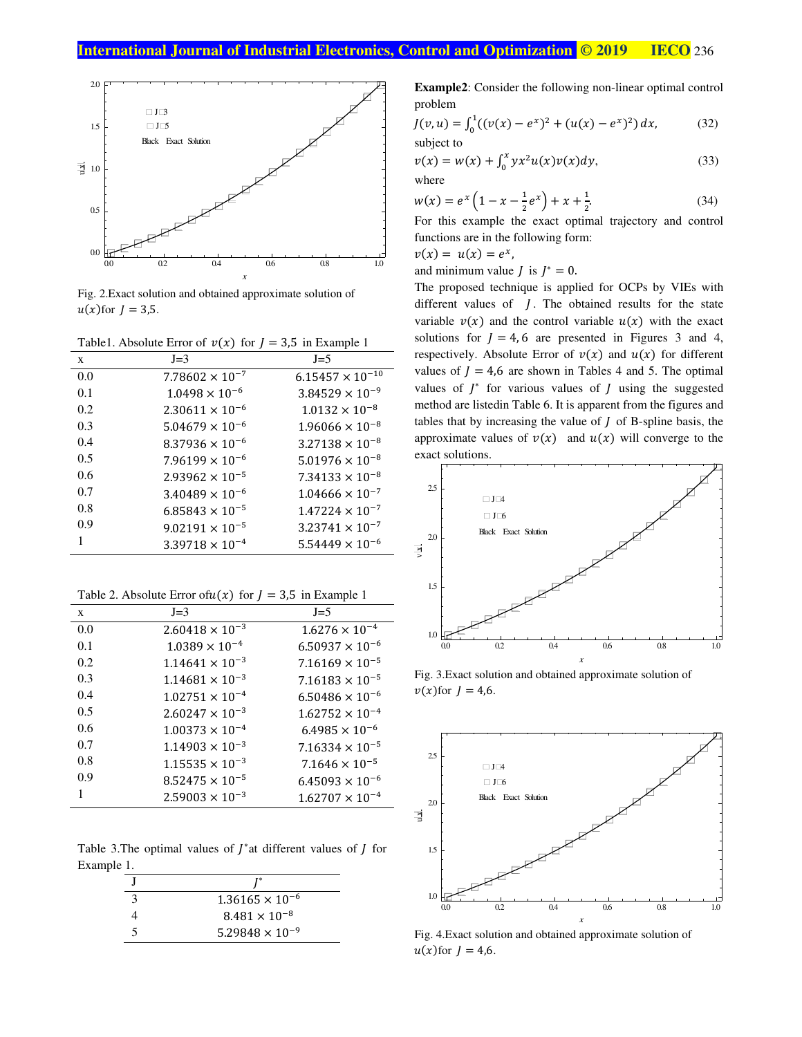

Fig. 2. Exact solution and obtained approximate solution of  $u(x)$  for  $J = 3.5$ .

Table 1. Absolute Error of  $v(x)$  for  $J = 3.5$  in Example 1

| X   | $J=3$                    | $J=5$                     |
|-----|--------------------------|---------------------------|
| 0.0 | $7.78602 \times 10^{-7}$ | $6.15457 \times 10^{-10}$ |
| 0.1 | $1.0498 \times 10^{-6}$  | $3.84529 \times 10^{-9}$  |
| 0.2 | $2.30611 \times 10^{-6}$ | $1.0132 \times 10^{-8}$   |
| 0.3 | $5.04679 \times 10^{-6}$ | $1.96066 \times 10^{-8}$  |
| 0.4 | $8.37936 \times 10^{-6}$ | $3.27138 \times 10^{-8}$  |
| 0.5 | $7.96199 \times 10^{-6}$ | $5.01976 \times 10^{-8}$  |
| 0.6 | $2.93962 \times 10^{-5}$ | $7.34133 \times 10^{-8}$  |
| 0.7 | $3.40489 \times 10^{-6}$ | $1.04666 \times 10^{-7}$  |
| 0.8 | $6.85843 \times 10^{-5}$ | $1.47224 \times 10^{-7}$  |
| 0.9 | $9.02191 \times 10^{-5}$ | $3.23741 \times 10^{-7}$  |
| 1   | $3.39718 \times 10^{-4}$ | $5.54449 \times 10^{-6}$  |

| Table 2. Absolute Error of $u(x)$ for $J = 3.5$ in Example 1 |                          |                          |
|--------------------------------------------------------------|--------------------------|--------------------------|
| X                                                            | $J=3$                    | $J=5$                    |
| 0.0                                                          | $2.60418 \times 10^{-3}$ | $1.6276 \times 10^{-4}$  |
| 0.1                                                          | $1.0389 \times 10^{-4}$  | $6.50937 \times 10^{-6}$ |
| 0.2                                                          | $1.14641 \times 10^{-3}$ | $7.16169 \times 10^{-5}$ |
| 0.3                                                          | $1.14681 \times 10^{-3}$ | $7.16183 \times 10^{-5}$ |
| 0.4                                                          | $1.02751 \times 10^{-4}$ | $6.50486 \times 10^{-6}$ |
| 0.5                                                          | $2.60247 \times 10^{-3}$ | $1.62752 \times 10^{-4}$ |
| 0.6                                                          | $1.00373 \times 10^{-4}$ | $6.4985 \times 10^{-6}$  |
| 0.7                                                          | $1.14903 \times 10^{-3}$ | $7.16334 \times 10^{-5}$ |
| 0.8                                                          | $1.15535 \times 10^{-3}$ | $7.1646 \times 10^{-5}$  |
| 0.9                                                          | $8.52475 \times 10^{-5}$ | $6.45093 \times 10^{-6}$ |
| 1                                                            | $2.59003 \times 10^{-3}$ | $1.62707 \times 10^{-4}$ |

Table 3. The optimal values of  $J^*$  at different values of  $J$  for Example 1.

| $1.36165 \times 10^{-6}$ |
|--------------------------|
| $8.481 \times 10^{-8}$   |
| $5.29848 \times 10^{-9}$ |

**Example2:** Consider the following non-linear optimal control problem

$$
J(v, u) = \int_0^1 ((v(x) - e^x)^2 + (u(x) - e^x)^2) dx,
$$
  
subject to (32)

$$
v(x) = w(x) + \int_0^x yx^2 u(x)v(x)dy,
$$
\nwhere\n(33)

$$
w(x) = e^x \left( 1 - x - \frac{1}{2} e^x \right) + x + \frac{1}{2}.
$$
 (34)

For this example the exact optimal trajectory and control functions are in the following form:

 $v(x) = u(x) = e^x$ ,

and minimum value *J* is  $J^* = 0$ .

The proposed technique is applied for OCPs by VIEs with different values of  $J$ . The obtained results for the state variable  $v(x)$  and the control variable  $u(x)$  with the exact solutions for  $J = 4, 6$  are presented in Figures 3 and 4, respectively. Absolute Error of  $v(x)$  and  $u(x)$  for different values of  $J = 4.6$  are shown in Tables 4 and 5. The optimal values of  $J^*$  for various values of  $J$  using the suggested method are listedin Table 6. It is apparent from the figures and tables that by increasing the value of  $J$  of B-spline basis, the approximate values of  $v(x)$  and  $u(x)$  will converge to the exact solutions.



Fig. 3. Exact solution and obtained approximate solution of  $v(x)$ for  $J = 4.6$ .



Fig. 4. Exact solution and obtained approximate solution of  $u(x)$  for  $J = 4,6$ .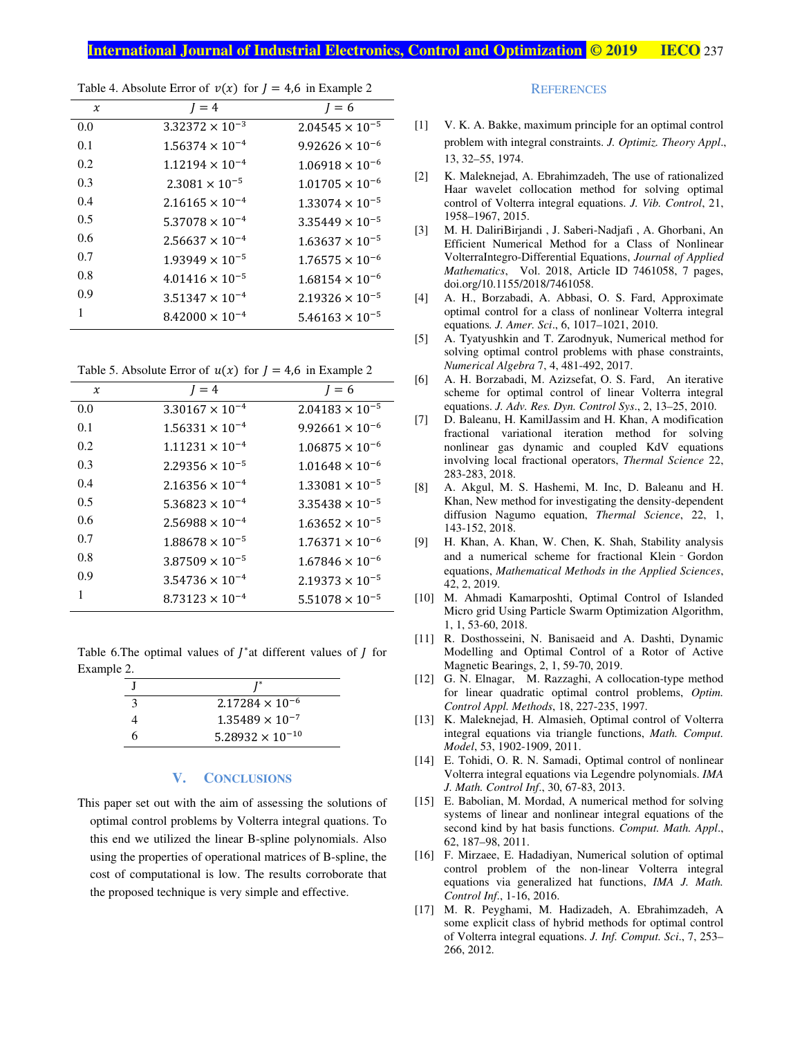| $\chi$ | $J = 4$                  | $I = 6$                  |
|--------|--------------------------|--------------------------|
| 0.0    | $3.32372 \times 10^{-3}$ | $2.04545 \times 10^{-5}$ |
| 0.1    | $1.56374 \times 10^{-4}$ | $9.92626 \times 10^{-6}$ |
| 0.2    | $1.12194 \times 10^{-4}$ | $1.06918 \times 10^{-6}$ |
| 0.3    | $2.3081 \times 10^{-5}$  | $1.01705 \times 10^{-6}$ |
| 0.4    | $2.16165 \times 10^{-4}$ | $1.33074 \times 10^{-5}$ |
| 0.5    | $5.37078 \times 10^{-4}$ | $3.35449 \times 10^{-5}$ |
| 0.6    | $2.56637 \times 10^{-4}$ | $1.63637 \times 10^{-5}$ |
| 0.7    | $1.93949 \times 10^{-5}$ | $1.76575 \times 10^{-6}$ |
| 0.8    | $4.01416 \times 10^{-5}$ | $1.68154 \times 10^{-6}$ |
| 0.9    | $3.51347 \times 10^{-4}$ | $2.19326 \times 10^{-5}$ |
| 1      | $8.42000 \times 10^{-4}$ | $5.46163 \times 10^{-5}$ |

Table 4. Absolute Error of  $v(x)$  for  $I = 4.6$  in Example 2

Table 5. Absolute Error of  $u(x)$  for  $J = 4.6$  in Example 2

| $\chi$ | $I = 4$                  | $l = 6$                  |
|--------|--------------------------|--------------------------|
| 0.0    | $3.30167 \times 10^{-4}$ | $2.04183 \times 10^{-5}$ |
| 0.1    | $1.56331 \times 10^{-4}$ | $9.92661 \times 10^{-6}$ |
| 0.2    | $1.11231 \times 10^{-4}$ | $1.06875 \times 10^{-6}$ |
| 0.3    | $2.29356 \times 10^{-5}$ | $1.01648 \times 10^{-6}$ |
| 0.4    | $2.16356 \times 10^{-4}$ | $1.33081 \times 10^{-5}$ |
| 0.5    | $5.36823 \times 10^{-4}$ | $3.35438 \times 10^{-5}$ |
| 0.6    | $2.56988 \times 10^{-4}$ | $1.63652 \times 10^{-5}$ |
| 0.7    | $1.88678 \times 10^{-5}$ | $1.76371 \times 10^{-6}$ |
| 0.8    | $3.87509 \times 10^{-5}$ | $1.67846 \times 10^{-6}$ |
| 0.9    | $3.54736 \times 10^{-4}$ | $2.19373 \times 10^{-5}$ |
|        | $8.73123 \times 10^{-4}$ | $5.51078 \times 10^{-5}$ |

Table 6. The optimal values of  $\int^*$  at different values of  $\int$  for Example 2.

| 3 | $2.17284 \times 10^{-6}$  |
|---|---------------------------|
|   | $1.35489 \times 10^{-7}$  |
|   | $5.28932 \times 10^{-10}$ |

#### V. **CONCLUSIONS**

This paper set out with the aim of assessing the solutions of optimal control problems by Volterra integral quations. To this end we utilized the linear B-spline polynomials. Also using the properties of operational matrices of B-spline, the cost of computational is low. The results corroborate that the proposed technique is very simple and effective.

#### **REFERENCES**

- V. K. A. Bakke, maximum principle for an optimal control  $\lceil 1 \rceil$ problem with integral constraints. J. Optimiz. Theory Appl., 13, 32-55, 1974.
- [2] K. Maleknejad, A. Ebrahimzadeh, The use of rationalized Haar wavelet collocation method for solving optimal control of Volterra integral equations. *J. Vib. Control*, 21, 1958-1967, 2015.
- [3] M. H. DaliriBirjandi, J. Saberi-Nadjafi, A. Ghorbani, An Efficient Numerical Method for a Class of Nonlinear VolterraIntegro-Differential Equations, Journal of Applied Mathematics, Vol. 2018, Article ID 7461058, 7 pages, doi.org/10.1155/2018/7461058.
- $\lceil 4 \rceil$ A. H., Borzabadi, A. Abbasi, O. S. Fard, Approximate optimal control for a class of nonlinear Volterra integral equations. J. Amer. Sci., 6, 1017-1021, 2010.
- A. Tyatyushkin and T. Zarodnyuk, Numerical method for  $\left[5\right]$ solving optimal control problems with phase constraints, Numerical Algebra 7, 4, 481-492, 2017.
- $[6]$ A. H. Borzabadi, M. Azizsefat, O. S. Fard, An iterative scheme for optimal control of linear Volterra integral equations. J. Adv. Res. Dyn. Control Sys., 2, 13–25, 2010.
- $[7]$ D. Baleanu, H. KamilJassim and H. Khan, A modification fractional variational iteration method for solving nonlinear gas dynamic and coupled KdV equations involving local fractional operators, Thermal Science 22, 283-283, 2018.
- $[8]$ A. Akgul, M. S. Hashemi, M. Inc, D. Baleanu and H. Khan, New method for investigating the density-dependent diffusion Nagumo equation, *Thermal Science*, 22, 1, 143-152, 2018.
- H. Khan, A. Khan, W. Chen, K. Shah, Stability analysis  $[9]$ and a numerical scheme for fractional Klein - Gordon equations, Mathematical Methods in the Applied Sciences, 42, 2, 2019.
- [10] M. Ahmadi Kamarposhti, Optimal Control of Islanded Micro grid Using Particle Swarm Optimization Algorithm, 1, 1, 53-60, 2018.
- [11] R. Dosthosseini, N. Banisaeid and A. Dashti, Dynamic Modelling and Optimal Control of a Rotor of Active Magnetic Bearings, 2, 1, 59-70, 2019.
- [12] G. N. Elnagar, M. Razzaghi, A collocation-type method for linear quadratic optimal control problems, Optim. Control Appl. Methods, 18, 227-235, 1997.
- [13] K. Maleknejad, H. Almasieh, Optimal control of Volterra integral equations via triangle functions, Math. Comput. Model, 53, 1902-1909, 2011.
- [14] E. Tohidi, O. R. N. Samadi, Optimal control of nonlinear Volterra integral equations via Legendre polynomials. IMA J. Math. Control Inf., 30, 67-83, 2013.
- [15] E. Babolian, M. Mordad, A numerical method for solving systems of linear and nonlinear integral equations of the second kind by hat basis functions. Comput. Math. Appl., 62, 187-98, 2011.
- [16] F. Mirzaee, E. Hadadiyan, Numerical solution of optimal control problem of the non-linear Volterra integral equations via generalized hat functions, IMA J. Math. Control Inf., 1-16, 2016.
- [17] M. R. Peyghami, M. Hadizadeh, A. Ebrahimzadeh, A. some explicit class of hybrid methods for optimal control of Volterra integral equations. J. Inf. Comput. Sci., 7, 253-266, 2012.